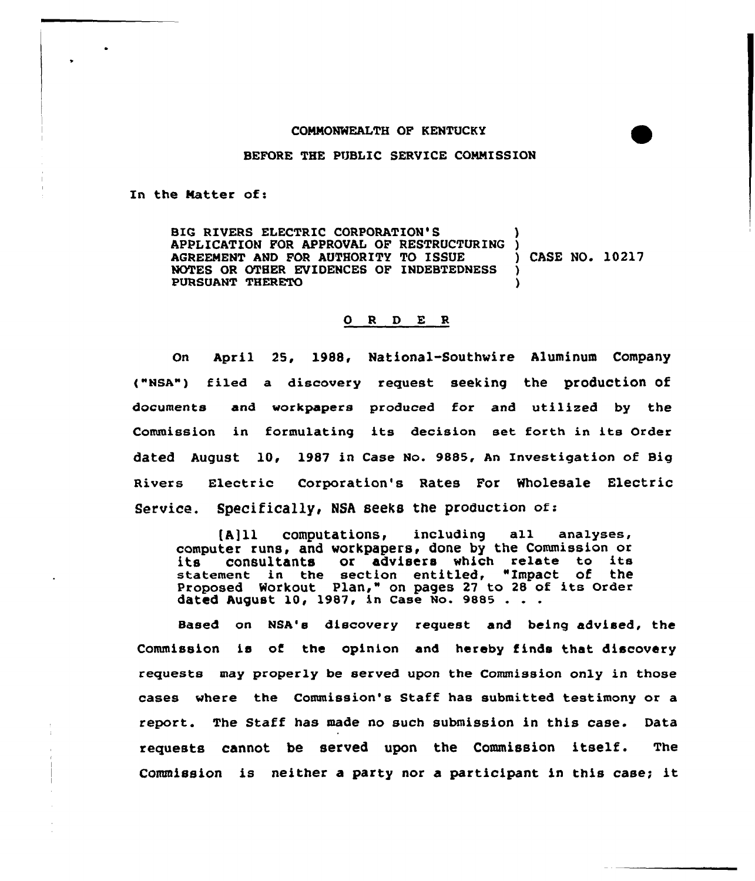## COMMONWEALTH OF KENTUCKY

## BEFORE THE PUBLIC SERVICE COMMISSION

In the Matter of:

BIG RIVERS ELECTRIC CORPORATION'S APPLICATION FOR APPROVAL OF RESTRUCTURING )<br>AGREEMENT AND FOR AUTHORITY TO ISSUE ) CASE NO. 10217 AGREEMENT AND FOR AUTHORITY TO ISSUE NOTES OR OTHER EVIDENCES OF INDEBTEDNESS PURSUANT THERETO )

## O R D E R

On April 25, 1988, National-Southwire Aluminum Company ("NBA") filed a discovery request seeking the production of documents and workpapers produced for and utilized by the Commission in formulating its decision set forth in its Order dated August 10, 1987 in Case No. 9885, An Investigation of Big Rivers Electric Corporation's Rates For Wholesale Electric Service. Specifically, NSA seeks the production of:

(A]ll computations, including all analyses, computer runs, and workpapera, done by the Commission or computer runs, and workpapers, done by the commission on statement in the section entitled, "Impact of the statement in the section entities, impact of the<br>Proposed Workout Plan," on pages 27 to 28 of its Order Proposed Workout Plan, on pages 27 t<br>d<mark>ated August 10, 1987, in Case No. 988</mark>5

Based on NSA'e discovery request and being advised, the Commission is of the opinion and hereby finds that discovery requests may properly be served upon the Commission only in those cases where the Commission's Staff has submitted testimony or a report. The Staff has made no such submission in this case. Data requests cannot be served upon the Commission itself. The Commission is neither <sup>a</sup> party nor <sup>a</sup> participant in this case; it